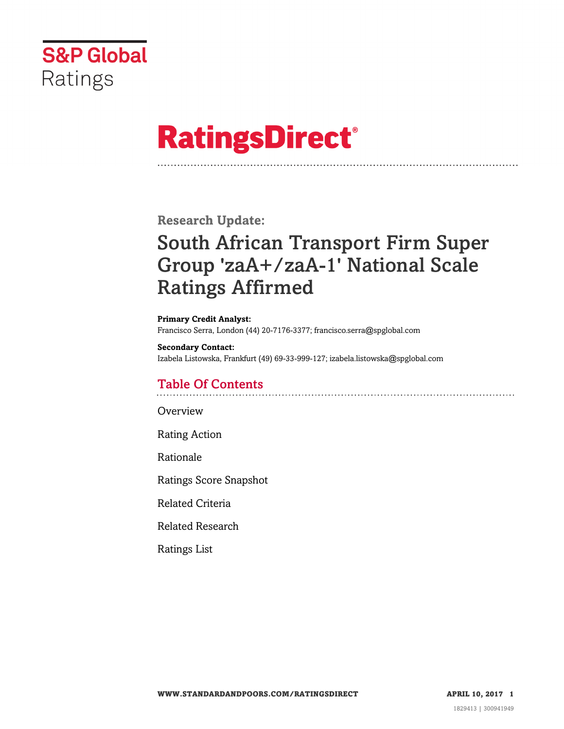

# **RatingsDirect®**

**Research Update:**

## South African Transport Firm Super Group 'zaA+/zaA-1' National Scale Ratings Affirmed

**Primary Credit Analyst:** Francisco Serra, London (44) 20-7176-3377; francisco.serra@spglobal.com

**Secondary Contact:** Izabela Listowska, Frankfurt (49) 69-33-999-127; izabela.listowska@spglobal.com

### Table Of Contents

[Overview](#page-1-0)

[Rating Action](#page-1-1)

[Rationale](#page-1-2)

[Ratings Score Snapshot](#page-3-0)

[Related Criteria](#page-4-0)

[Related Research](#page-4-1)

[Ratings List](#page-4-2)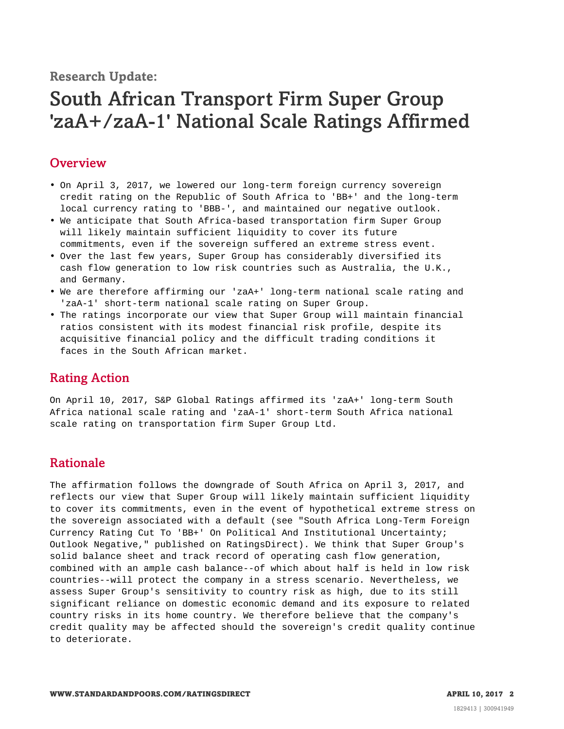**Research Update:**

## South African Transport Firm Super Group 'zaA+/zaA-1' National Scale Ratings Affirmed

#### <span id="page-1-0"></span>**Overview**

- On April 3, 2017, we lowered our long-term foreign currency sovereign credit rating on the Republic of South Africa to 'BB+' and the long-term local currency rating to 'BBB-', and maintained our negative outlook.
- We anticipate that South Africa-based transportation firm Super Group will likely maintain sufficient liquidity to cover its future commitments, even if the sovereign suffered an extreme stress event.
- Over the last few years, Super Group has considerably diversified its cash flow generation to low risk countries such as Australia, the U.K., and Germany.
- We are therefore affirming our 'zaA+' long-term national scale rating and 'zaA-1' short-term national scale rating on Super Group.
- The ratings incorporate our view that Super Group will maintain financial ratios consistent with its modest financial risk profile, despite its acquisitive financial policy and the difficult trading conditions it faces in the South African market.

#### <span id="page-1-1"></span>Rating Action

On April 10, 2017, S&P Global Ratings affirmed its 'zaA+' long-term South Africa national scale rating and 'zaA-1' short-term South Africa national scale rating on transportation firm Super Group Ltd.

#### <span id="page-1-2"></span>Rationale

The affirmation follows the downgrade of South Africa on April 3, 2017, and reflects our view that Super Group will likely maintain sufficient liquidity to cover its commitments, even in the event of hypothetical extreme stress on the sovereign associated with a default (see "South Africa Long-Term Foreign Currency Rating Cut To 'BB+' On Political And Institutional Uncertainty; Outlook Negative," published on RatingsDirect). We think that Super Group's solid balance sheet and track record of operating cash flow generation, combined with an ample cash balance--of which about half is held in low risk countries--will protect the company in a stress scenario. Nevertheless, we assess Super Group's sensitivity to country risk as high, due to its still significant reliance on domestic economic demand and its exposure to related country risks in its home country. We therefore believe that the company's credit quality may be affected should the sovereign's credit quality continue to deteriorate.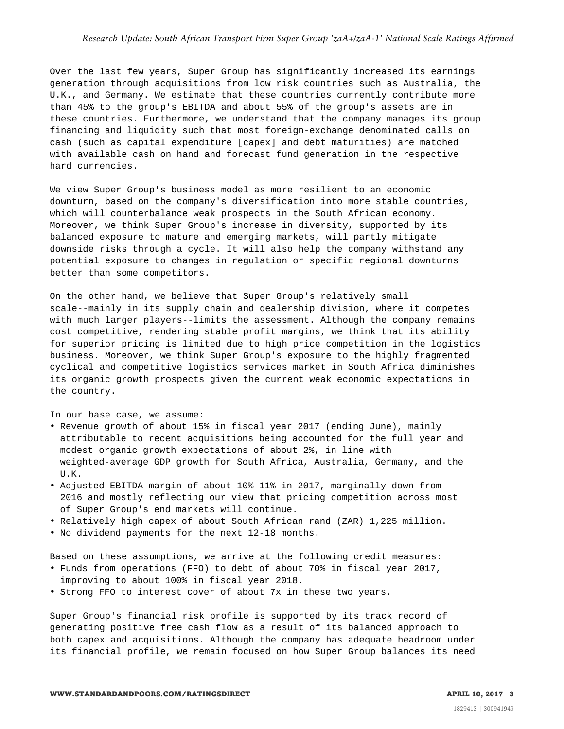Over the last few years, Super Group has significantly increased its earnings generation through acquisitions from low risk countries such as Australia, the U.K., and Germany. We estimate that these countries currently contribute more than 45% to the group's EBITDA and about 55% of the group's assets are in these countries. Furthermore, we understand that the company manages its group financing and liquidity such that most foreign-exchange denominated calls on cash (such as capital expenditure [capex] and debt maturities) are matched with available cash on hand and forecast fund generation in the respective hard currencies.

We view Super Group's business model as more resilient to an economic downturn, based on the company's diversification into more stable countries, which will counterbalance weak prospects in the South African economy. Moreover, we think Super Group's increase in diversity, supported by its balanced exposure to mature and emerging markets, will partly mitigate downside risks through a cycle. It will also help the company withstand any potential exposure to changes in regulation or specific regional downturns better than some competitors.

On the other hand, we believe that Super Group's relatively small scale--mainly in its supply chain and dealership division, where it competes with much larger players--limits the assessment. Although the company remains cost competitive, rendering stable profit margins, we think that its ability for superior pricing is limited due to high price competition in the logistics business. Moreover, we think Super Group's exposure to the highly fragmented cyclical and competitive logistics services market in South Africa diminishes its organic growth prospects given the current weak economic expectations in the country.

In our base case, we assume:

- Revenue growth of about 15% in fiscal year 2017 (ending June), mainly attributable to recent acquisitions being accounted for the full year and modest organic growth expectations of about 2%, in line with weighted-average GDP growth for South Africa, Australia, Germany, and the U.K.
- Adjusted EBITDA margin of about 10%-11% in 2017, marginally down from 2016 and mostly reflecting our view that pricing competition across most of Super Group's end markets will continue.
- Relatively high capex of about South African rand (ZAR) 1,225 million.
- No dividend payments for the next 12-18 months.

Based on these assumptions, we arrive at the following credit measures:

- Funds from operations (FFO) to debt of about 70% in fiscal year 2017, improving to about 100% in fiscal year 2018.
- Strong FFO to interest cover of about 7x in these two years.

Super Group's financial risk profile is supported by its track record of generating positive free cash flow as a result of its balanced approach to both capex and acquisitions. Although the company has adequate headroom under its financial profile, we remain focused on how Super Group balances its need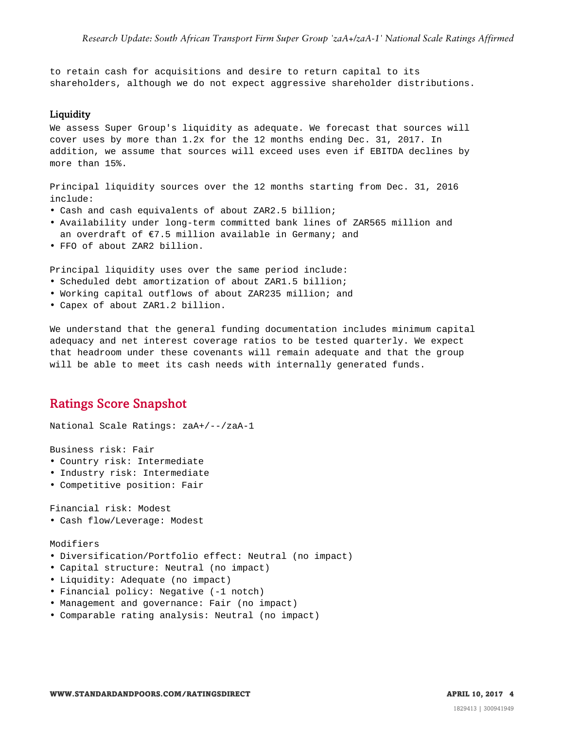to retain cash for acquisitions and desire to return capital to its shareholders, although we do not expect aggressive shareholder distributions.

#### Liquidity

We assess Super Group's liquidity as adequate. We forecast that sources will cover uses by more than 1.2x for the 12 months ending Dec. 31, 2017. In addition, we assume that sources will exceed uses even if EBITDA declines by more than 15%.

Principal liquidity sources over the 12 months starting from Dec. 31, 2016 include:

- Cash and cash equivalents of about ZAR2.5 billion;
- Availability under long-term committed bank lines of ZAR565 million and an overdraft of  $\epsilon$ 7.5 million available in Germany; and
- FFO of about ZAR2 billion.

Principal liquidity uses over the same period include:

- Scheduled debt amortization of about ZAR1.5 billion;
- Working capital outflows of about ZAR235 million; and
- Capex of about ZAR1.2 billion.

We understand that the general funding documentation includes minimum capital adequacy and net interest coverage ratios to be tested quarterly. We expect that headroom under these covenants will remain adequate and that the group will be able to meet its cash needs with internally generated funds.

#### <span id="page-3-0"></span>Ratings Score Snapshot

National Scale Ratings: zaA+/--/zaA-1

Business risk: Fair

- Country risk: Intermediate
- Industry risk: Intermediate
- Competitive position: Fair

Financial risk: Modest

• Cash flow/Leverage: Modest

Modifiers

- Diversification/Portfolio effect: Neutral (no impact)
- Capital structure: Neutral (no impact)
- Liquidity: Adequate (no impact)
- Financial policy: Negative (-1 notch)
- Management and governance: Fair (no impact)
- Comparable rating analysis: Neutral (no impact)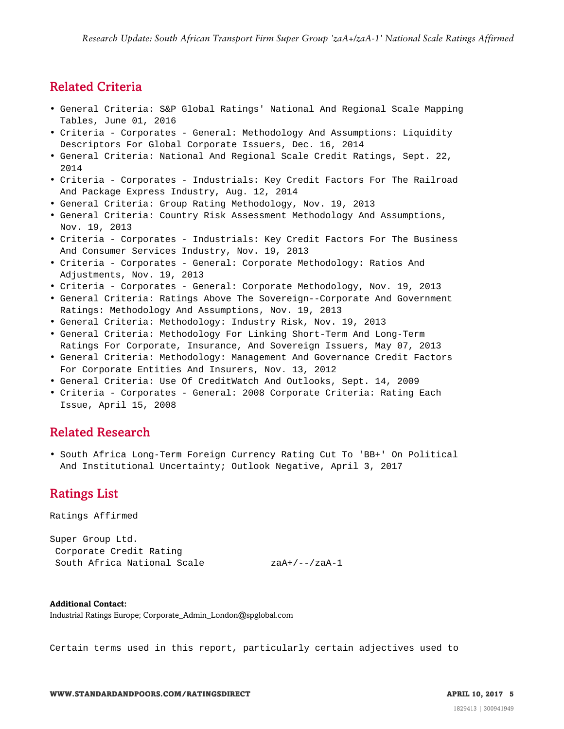#### <span id="page-4-0"></span>Related Criteria

- General Criteria: S&P Global Ratings' National And Regional Scale Mapping Tables, June 01, 2016
- Criteria Corporates General: Methodology And Assumptions: Liquidity Descriptors For Global Corporate Issuers, Dec. 16, 2014
- General Criteria: National And Regional Scale Credit Ratings, Sept. 22, 2014
- Criteria Corporates Industrials: Key Credit Factors For The Railroad And Package Express Industry, Aug. 12, 2014
- General Criteria: Group Rating Methodology, Nov. 19, 2013
- General Criteria: Country Risk Assessment Methodology And Assumptions, Nov. 19, 2013
- Criteria Corporates Industrials: Key Credit Factors For The Business And Consumer Services Industry, Nov. 19, 2013
- Criteria Corporates General: Corporate Methodology: Ratios And Adjustments, Nov. 19, 2013
- Criteria Corporates General: Corporate Methodology, Nov. 19, 2013
- General Criteria: Ratings Above The Sovereign--Corporate And Government Ratings: Methodology And Assumptions, Nov. 19, 2013
- General Criteria: Methodology: Industry Risk, Nov. 19, 2013
- General Criteria: Methodology For Linking Short-Term And Long-Term Ratings For Corporate, Insurance, And Sovereign Issuers, May 07, 2013
- General Criteria: Methodology: Management And Governance Credit Factors For Corporate Entities And Insurers, Nov. 13, 2012
- General Criteria: Use Of CreditWatch And Outlooks, Sept. 14, 2009
- <span id="page-4-1"></span>• Criteria - Corporates - General: 2008 Corporate Criteria: Rating Each Issue, April 15, 2008

#### Related Research

<span id="page-4-2"></span>• South Africa Long-Term Foreign Currency Rating Cut To 'BB+' On Political And Institutional Uncertainty; Outlook Negative, April 3, 2017

#### Ratings List

Ratings Affirmed

Super Group Ltd. Corporate Credit Rating South Africa National Scale zaA+/--/zaA-1

**Additional Contact:** Industrial Ratings Europe; Corporate\_Admin\_London@spglobal.com

Certain terms used in this report, particularly certain adjectives used to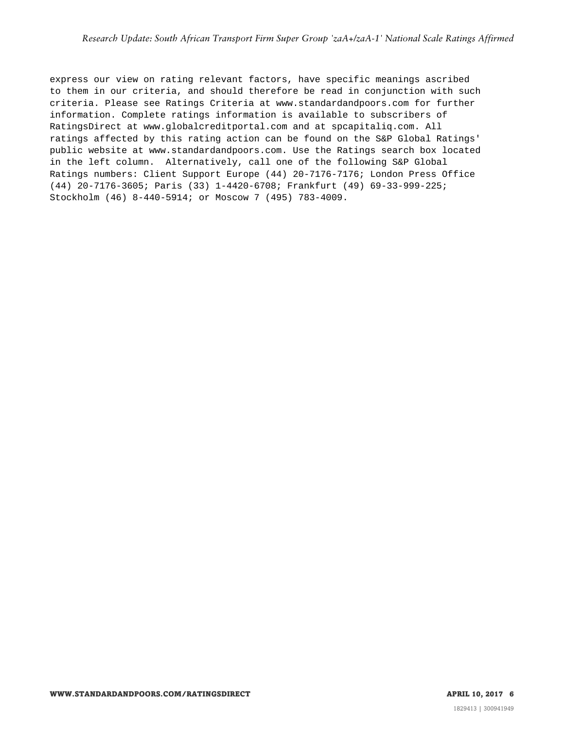express our view on rating relevant factors, have specific meanings ascribed to them in our criteria, and should therefore be read in conjunction with such criteria. Please see Ratings Criteria at www.standardandpoors.com for further information. Complete ratings information is available to subscribers of RatingsDirect at www.globalcreditportal.com and at spcapitaliq.com. All ratings affected by this rating action can be found on the S&P Global Ratings' public website at www.standardandpoors.com. Use the Ratings search box located in the left column. Alternatively, call one of the following S&P Global Ratings numbers: Client Support Europe (44) 20-7176-7176; London Press Office (44) 20-7176-3605; Paris (33) 1-4420-6708; Frankfurt (49) 69-33-999-225; Stockholm (46) 8-440-5914; or Moscow 7 (495) 783-4009.